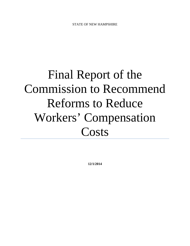# Final Report of the Commission to Recommend Reforms to Reduce Workers' Compensation **Costs**

**12/1/2014**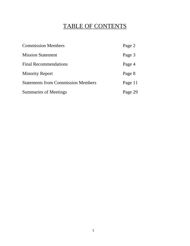# TABLE OF CONTENTS

| <b>Commission Members</b>                 | Page 2  |
|-------------------------------------------|---------|
| <b>Mission Statement</b>                  | Page 3  |
| <b>Final Recommendations</b>              | Page 4  |
| <b>Minority Report</b>                    | Page 8  |
| <b>Statements from Commission Members</b> | Page 11 |
| <b>Summaries of Meetings</b>              | Page 29 |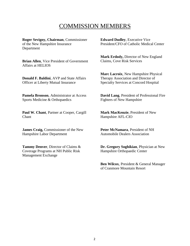# COMMISSION MEMBERS

**Roger Sevigny, Chairman**, Commissioner of the New Hampshire Insurance Department

**Brian Allen**, Vice President of Government Affairs at HELIOS

**Donald F. Baldini**, AVP and State Affairs Officer at Liberty Mutual Insurance

**Pamela Bronson**, Administrator at Access Sports Medicine & Orthopaedics

**Paul W. Chant**, Partner at Cooper, Cargill Chant

**James Craig,** Commissioner of the New Hampshire Labor Department

**Tammy Denver**, Director of Claims & Coverage Programs at NH Public Risk Management Exchange

**Edward Dudley**, Executive Vice President/CFO of Catholic Medical Center

**Mark Erdody,** Director of New England Claims, Cove Risk Services

**Marc Lacroix**, New Hampshire Physical Therapy Association and Director of Specialty Services at Concord Hospital

**David Lang**, President of Professional Fire Fighters of New Hampshire

**Mark MacKenzie**, President of New Hampshire AFL-CIO

**Peter McNamara**, President of NH Automobile Dealers Association

**Dr. Gregory Soghikian**, Physician at New Hampshire Orthopaedic Center

**Ben Wilcox**, President & General Manager of Cranmore Mountain Resort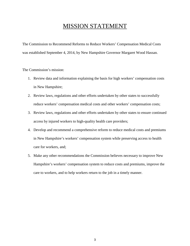## MISSION STATEMENT

The Commission to Recommend Reforms to Reduce Workers' Compensation Medical Costs was established September 4, 2014, by New Hampshire Governor Margaret Wood Hassan.

The Commission's mission:

- 1. Review data and information explaining the basis for high workers' compensation costs in New Hampshire;
- 2. Review laws, regulations and other efforts undertaken by other states to successfully reduce workers' compensation medical costs and other workers' compensation costs;
- 3. Review laws, regulations and other efforts undertaken by other states to ensure continued access by injured workers to high-quality health care providers;
- 4. Develop and recommend a comprehensive reform to reduce medical costs and premiums in New Hampshire's workers' compensation system while preserving access to health care for workers, and;
- 5. Make any other recommendations the Commission believes necessary to improve New Hampshire's workers' compensation system to reduce costs and premiums, improve the care to workers, and to help workers return to the job in a timely manner.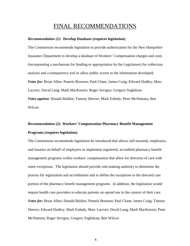## FINAL RECOMMENDATIONS

#### *Recommendation (1):* **Develop Database (requires legislation)**

The Commission recommends legislation to provide authorization for the New Hampshire Insurance Department to develop a database of Workers' Compensation charges and costs (incorporating a mechanism for funding or appropriation by the Legislature) for collection, analysis and a transparency tool to allow public access to the information developed. *Votes for:* Brian Allen; Pamela Bronson; Paul Chant; James Craig; Edward Dudley; Marc Lacroix; David Lang; Mark MacKenzie; Roger Sevigny; Gregory Soghikian *Votes against:* Donald Baldini; Tammy Denver; Mark Erdody; Peter McNamara; Ben Wilcox

## *Recommendation (2):* **Workers' Compensation Pharmacy Benefit Management Programs (requires legislation)**

The Commission recommends legislation be introduced that allows self-insureds, employers, and insurers on behalf of employers to implement registered, accredited pharmacy benefit management programs within workers' compensation that allow for direction of care with some exceptions. The legislation should provide rule-making authority to determine the process for registration and accreditation and to define the exceptions to the directed care portion of the pharmacy benefit management programs. In addition, the legislation would require health care providers to educate patients on opioid use in the context of their care. *Votes for:* Brian Allen; Donald Baldini; Pamela Bronson; Paul Chant; James Craig; Tammy Denver; Edward Dudley; Mark Erdody; Marc Lacroix; David Lang; Mark MacKenzie; Peter McNamara; Roger Sevigny; Gregory Soghikian; Ben Wilcox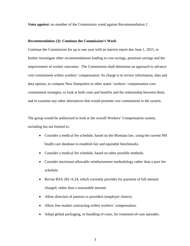*Votes against:* no member of the Commission voted against Recommendation 2

#### *Recommendation (3):* **Continue the Commission's Work**

Continue the Commission for up to one year with an interim report due June 1, 2015, to further investigate other recommendations leading to cost savings, premium savings and the improvement of worker outcomes. The Commission shall determine an approach to advance cost containment within workers' compensation. Its charge is to review information, data and data options, to compare New Hampshire to other states' workers' compensation costcontainment strategies, to look at both costs and benefits and the relationship between them, and to examine any other alternatives that would promote cost containment in the system.

The group would be authorized to look at the overall Workers' Compensation system, including but not limited to:

- Consider a medical fee schedule, based on the Montana law, using the current NH health care database to establish fair and equitable benchmarks.
- Consider a medical fee schedule, based on other possible methods.
- Consider maximum allowable reimbursement methodology rather than a pure fee schedule.
- Revise RSA 281-A:24, which currently provides for payment of full amount charged, rather than a reasonable amount.
- Allow direction of patients to providers (employer choice).
- Allow free market contracting within workers' compensation.
- Adopt global packaging, or bundling of costs, for treatment-of-care episodes.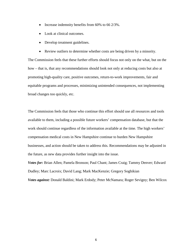- Increase indemnity benefits from 60% to 66 2/3%.
- Look at clinical outcomes.
- Develop treatment guidelines.
- Review outliers to determine whether costs are being driven by a minority.

The Commission feels that these further efforts should focus not only on the what, but on the how – that is, that any recommendations should look not only at reducing costs but also at promoting high-quality care, positive outcomes, return-to-work improvements, fair and equitable programs and processes, minimizing unintended consequences, not implementing broad changes too quickly, etc.

The Commission feels that those who continue this effort should use all resources and tools available to them, including a possible future workers' compensation database, but that the work should continue regardless of the information available at the time. The high workers' compensation medical costs in New Hampshire continue to burden New Hampshire businesses, and action should be taken to address this. Recommendations may be adjusted in the future, as new data provides further insight into the issue.

*Votes for:* Brian Allen; Pamela Bronson; Paul Chant; James Craig; Tammy Denver; Edward Dudley; Marc Lacroix; David Lang; Mark MacKenzie; Gregory Soghikian

*Votes against:* Donald Baldini; Mark Erdody; Peter McNamara; Roger Sevigny; Ben Wilcox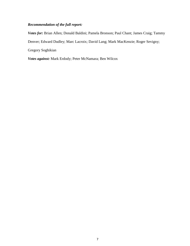#### *Recommendation of the full report:*

*Votes for:* Brian Allen; Donald Baldini; Pamela Bronson; Paul Chant; James Craig; Tammy Denver; Edward Dudley; Marc Lacroix; David Lang; Mark MacKenzie; Roger Sevigny; Gregory Soghikian

*Votes against:* Mark Erdody; Peter McNamara; Ben Wilcox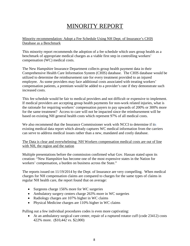# MINORITY REPORT

#### Minority recommendation: Adopt a Fee Schedule Using NH Dept. of Insurance's CHIS Database as a Benchmark

This minority report recommends the adoption of a fee schedule which uses group health as a benchmark of appropriate medical charges as a viable first step in controlling workers' compensation (WC) medical costs.

The New Hampshire Insurance Department collects group health payment data in their Comprehensive Health Care Information System (CHIS) database. The CHIS database would be utilized to determine the reimbursement rate for every treatment provided to an injured employee. As some providers may face additional costs associated with treating workers' compensation patients, a premium would be added to a provider's rate if they demonstrate such increased costs.

This fee schedule would be fair to medical providers and not difficult or expensive to implement. If medical providers are accepting group health payments for non-work related injuries, what is the rationale for requiring workers' compensation payers to pay upwards of 200% or 300% more for the same treatment? Access to care will not be impacted since the reimbursement will be based on existing NH general health costs which represent 97% of all medical costs.

We also recommend that the Insurance Commissioner work with NCCI to determine if its existing medical data report which already captures WC medical information from the carriers can serve to address medical issues rather than a new, mandated and costly database.

The Data is clear and overwhelming: NH Workers compensation medical costs are out of line with NH, the region and the nation

Multiple presentations before the commission confirmed what Gov. Hassan stated upon its creation: "New Hampshire has become one of the most expensive states in the Nation for workers' compensation, a burden on business across the State."

The reports issued on 11/19/2014 by the Dept. of Insurance are very compelling. When medical charges for NH compensation claims are compared to charges for the same types of claims in regular NH health care, the report found that on average:

- Surgeons charge 156% more for WC surgeries
- Ambulatory surgery centers charge 263% more in WC surgeries
- Radiology charges are 107% higher in WC claims
- Physical Medicine charges are 110% higher in WC claims

Pulling out a few individual procedures codes is even more captivating:

• At an ambulatory surgical care center, repair of a ruptured rotator cuff (code 23412) costs 422% more. (\$10,442 vs. \$2,000)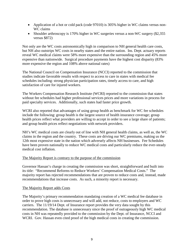- Application of a hot or cold pack (code 97010) is 305% higher in WC claims versus non-WC claims
- Shoulder arthroscopy is 170% higher in WC surgeries versus a non-WC surgery (\$2,355 versus \$872)

Not only are the WC costs astronomically high in comparison to NH general health care costs, but NH also outstrips WC costs in nearby states and the entire nation. Ins. Dept. actuary reports reveal WC medical claims were 58% more expensive than the surrounding region and 45% more expensive than nationwide. Surgical procedure payments have the highest cost disparity (83% more expensive the region and 108% above national rates)

The National Council on Compensation Insurance (NCCI) reported to the commission that studies indicate favorable results with respect to access to care in states with medical fee schedules including: strong physician participation rates, timely access to care, and high satisfaction of care for injured workers.

The Workers Compensation Research Institute (WCRI) reported to the commission that states without fee schedules had higher professional services prices and more variations in process for paid specialty services. Additionally, such states had faster price growth.

WCRI also reported that advantages of using group health as benchmark for WC fee schedules include the following: group health is the largest source of health insurance coverage; group health prices reflect what providers are willing to accept in order to see a large share of patients; and group health prices reflect negotiations with network providers.

NH's WC medical costs are clearly out of line with NH general health claims, as well as, the WC claims in the region and the country. These costs are driving our WC premiums, making us the 12th most expensive state in the nation which adversely affects NH businesses. Fee Schedules have been proven nationally to reduce WC medical costs and particularly reduce the ever-steady medical cost inflation.

#### The Majority Report is contrary to the purpose of the commission

Governor Hassan's charge in creating the commission was short, straightforward and built into its title: "Recommend Reforms to Reduce Workers' Compensation Medical Costs." The majority report has rejected recommendations that are proven to reduce costs and, instead, made recommendations that increase costs. As such, a minority report is necessary.

#### The Majority Report adds Costs

The Majority's primary recommendation mandating creation of a WC medical fee database in order to prove high costs is unnecessary and will add, not reduce, costs to employers and WC carriers. The 11/19/14 Dept. of Insurance report provides the very data sought by this recommendation. The database is unnecessary since the proof of outrageously high WC medical costs in NH was repeatedly provided to the commission by the Dept. of Insurance, NCCI and WCRI. Gov. Hassan even cited proof of the high medical costs in creating the commission.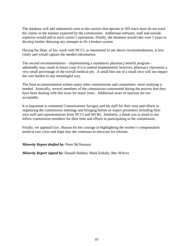The database will add substantial costs to the carriers that operate in NH since most do not track the claims in the manner expected by the commission. Additional software, staff and outside expertise would add to each carrier's operations. Finally, the database would take over 3 years to develop further delaying any attempts to fix a broken system.

Having the Dept. of Ins. work with NCCI, as mentioned in our above recommendations, is less costly and would capture the needed information.

The second recommendation – implementing a mandatory pharmacy benefit program – admittedly may result in lower costs if it is indeed implemented; however, pharmacy represents a very small percentage of the overall medical pie. A small bite out of a small slice will not impact the cost burden in any meaningful way.

The final recommendation echoes many other commissions and committees: more studying is needed. Ironically, several members of the commission commented during the process that they have been dealing with this issue for many years. Additional years of inaction are not acceptable.

It is important to commend Commissioner Sevigny and his staff for their time and efforts in organizing the commission meetings and bringing before us expert presenters including their own staff and representatives from NCCI and WCRI. Similarly, a thank you is owed to our fellow commission members for their time and efforts in participating in the commission.

Finally, we applaud Gov. Hassan for her courage in highlighting the worker's compensation medical cost crisis and hope that she continues to advocate for reforms.

#### *Minority Report drafted by:* Peter McNamara

*Minority Report signed by:* Donald Baldini; Mark Erdody; Ben Wilcox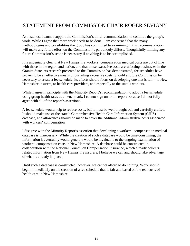## STATEMENT FROM COMMISSION CHAIR ROGER SEVIGNY

As it stands, I cannot support the Commission's third recommendation, to continue the group's work. While I agree that more work needs to be done, I am concerned that the many methodologies and possibilities the group has committed to examining in this recommendation will make any future effort on the Commission's part unduly diffuse. Thoughtfully limiting any future Commission's scope is necessary if anything is to be accomplished.

It is undeniably clear that New Hampshire workers' compensation medical costs are out of line with those in the region and nation, and that those excessive costs are affecting businesses in the Granite State. As research presented to the Commission has demonstrated, fee schedules have proven to be an effective means of curtailing excessive costs. Should a future Commission be necessary to create a fee schedule, its efforts should focus on developing one that is fair – to New Hampshire insurers, to health care providers, and especially to the state's workers.

While I agree in principle with the Minority Report's recommendation to adopt a fee schedule using group health rates as a benchmark, I cannot sign on to the report because I do not fully agree with all of the report's assertions.

A fee schedule would help to reduce costs, but it must be well thought out and carefully crafted. It should make use of the state's Comprehensive Health Care Information System (CHIS) database, and allowances should be made to cover the additional administrative costs associated with workers' compensation.

I disagree with the Minority Report's assertion that developing a workers' compensation medical database is unnecessary. While the creation of such a database would be time-consuming, the information it eventually would generate would be invaluable to the ongoing examination of workers' compensation costs in New Hampshire. A database could be constructed in collaboration with the National Council on Compensation Insurance, which already collects related information from New Hampshire insurers: I believe we can and should take advantage of what is already in place.

Until such a database is constructed, however, we cannot afford to do nothing. Work should begin immediately on the creation of a fee schedule that is fair and based on the real costs of health care in New Hampshire.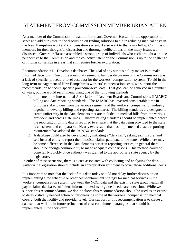## STATEMENT FROM COMMISSION MEMBER BRIAN ALLEN

As a member of the Commission, I want to first thank Governor Hassan for the opportunity to serve and add our voice to the discussion on finding solutions to aid in reducing medical costs in the New Hampshire workers' compensation system. I also want to thank my fellow Commission members for their thoughtful discussion and thorough deliberations on the many issues we discussed. Governor Hassan assembled a strong group of individuals who each brought a unique perspective to the Commission and the collective talent on the Commission is up to the challenge of finding consensus in areas that still require further exploration.

Recommendation #1 – Develop a database: The goal of any serious policy maker is to make informed decisions. One of the areas that seemed to hamper discussion on the Commission was a lack of specific, procedure-level cost data for the workers' compensation system. To aid in the long-term management of New Hampshire's workers' compensation costs, we support the recommendation to secure specific procedure-level data. That goal can be achieved in a number of ways, but we would recommend using one of the following methods:

- 1. Implement the International Association of Accident Boards and Commissions (IAIABC) billing and data reporting standards. The IAIABC has invested considerable time in bringing stakeholders from the various segments of the workers' compensation industry together to develop billing and reporting standards. The billing standards are designed to create uniformity in the data elements that are included in medical bills from the various providers and across state lines. Uniform billing standards should be implemented before the reporting of billing data is required to ensure that the data being provided to the state is consistent and comparable. Nearly every state that has implemented a state reporting requirement has adopted the IAIABX standards.
- 2. A database could also be developed by initiating a "data call", asking each insurer and self-insured entity to report their medical claims paid data to the state. While there may be some differences in the data elements between reporting entities, in general there should be enough commonality to made adequate comparisons. This method could be done fairly quickly once authority was granted to the appropriate state agency by the legislature.

In either of these scenarios, there is a cost associated with collecting and analyzing the data. Authorizing legislation should include an appropriation sufficient to cover those additional costs.

It is important to note that the lack of this data today should not delay further discussion on implementing a fee schedule or other cost-containment strategy for medical services in the workers' compensation system. Between the NCCI data and the existing state group health all payer claims database, sufficient information exists to guide an educated decision. While we support this recommendation, we don't believe this recommendation should be used as an excuse to delay critically needed action on rationalizing some of the workers' compensation medical costs at both the facility and provider level. Our support of this recommendation is to create a data set that will aid in future refinement of cost-containment strategies that should be implemented in the short-term.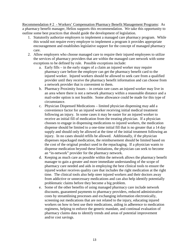Recommendation # 2 - Workers' Compensation Pharmacy Benefit Management Programs: As a pharmacy benefit manager, Helios supports this recommendation. We take this opportunity to outline some best practices that should guide the development of legislation.

- 1. Statutorily authorize employers to implement a managed care pharmacy program. While this would not require every employer to implement a program it provides appropriate encouragement and establishes legislative support for the concept of managed pharmacy care.
- 2. Allow employers who choose managed care to require their injured employees to utilize the services of pharmacy providers that are within the managed care network with some exceptions to be defined by rule. Possible exceptions include:
	- a. Early fills in the early stages of a claim an injured worker may require pharmacy care before the employer can get the pharmacy benefit card to the injured worker. Injured workers should be allowed to seek care from a qualified provider until they receive the pharmacy benefit information and can choose from a network provider that is convenient to them.
	- b. Pharmacy Proximity Issues in certain rare cases an injured worker may live in an area where there is not a network pharmacy within a reasonable distance and a mail-order option is not feasible. Some allowance could be made for this type of circumstance.
	- c. Physician Dispensed Medications limited physician dispensing may add a convenience factor for an injured worker receiving initial medical treatment following an injury. In some cases it may be easier for an injured worker to receive an initial fill of medication from the treating physician. If a physician chooses to engage in dispensing medications to injured workers, the medication dispense should be limited to a one-time initial fill that is no greater that a 14 day supply and should only be allowed at the time of the initial treatment following an injury. In no cases should refills be allowed. Additionally, if the physician dispenses repackaged medication, the reimbursement should be limited based on the cost of the original product used in the repackaging. If a physician wants to dispense medication beyond these limitations, the physician can seek to become an "in-network" provider for the pharmacy network.
	- d. Keeping as much care as possible within the network allows the pharmacy benefit manager to gain a greater and more immediate understanding of the scope of pharmacy care needed and aids in employing the best clinical tools to ensure the injured worker receives quality care that includes the right medication at the right time. The clinical tools also help steer injured workers and their doctors away from addictive or unnecessary medications and can also help identify potentially problematic claims before they become a big problem.
	- e. Some of the other benefits of using managed pharmacy care include network discounts, guaranteed payments to pharmacy providers, reduced administrative costs by streamlining processes and exchanging information electronically, screening out medications that are not related to the injury, educating injured workers on how to best use their medications, aiding in adherence to medication regimens, helping to enforce the generic mandate, and continual evaluation of pharmacy claims data to identify trends and areas of potential improvement and/or cost savings.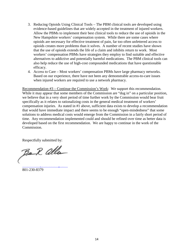- 3. Reducing Opioids Using Clinical Tools The PBM clinical tools are developed using evidence-based guidelines that are widely accepted in the treatment of injured workers. Allow the PBMs to implement their best clinical tools to reduce the use of opioids in the New Hampshire workers' compensation system. While there are some cases where opioids are necessary for effective treatment of pain, far too often unfettered access to opioids creates more problems than it solves. A number of recent studies have shown that the use of opioids extends the life of a claim and inhibits return to work. Most workers' compensation PBMs have strategies they employ to find suitable and effective alternatives to addictive and potentially harmful medications. The PBM clinical tools can also help reduce the use of high-cost compounded medications that have questionable efficacy.
- 4. Access to Care Most workers' compensation PBMs have large pharmacy networks. Based on our experience, there have not been any demonstrable access-to-care issues when injured workers are required to use a network pharmacy.

Recommendation #3 – Continue the Commission's Work: We support this recommendation. While it may appear that some members of the Commission are "dug in" on a particular position, we believe that in a very short period of time further work by the Commission would bear fruit specifically as it relates to rationalizing costs in the general medical treatment of workers' compensation injuries. As stated in #1 above, sufficient data exists to develop a recommendation that would have immediate impact and there seems to be enough "open-mindedness" that some solutions to address medical costs would emerge from the Commission in a fairly short period of time. Any recommendation implemented could and should be refined over time as better data is developed based on the first recommendation. We are happy to continue in the work of the Commission.

Respectfully submitted by:

Ba R alla [Brian.Allen@helioscomp.com](mailto:Brian.Allen@helioscomp.com)

801-230-8379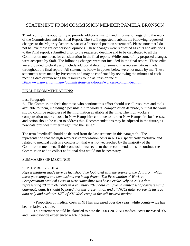## STATEMENT FROM COMMISSION MEMBER PAMELA BRONSON

Thank you for the opportunity to provide additional insight and information regarding the work of the Commission and the Final Report. The Staff suggested I submit the following requested changes to the Majority Report as part of a "personal position statement". Please note that I do not believe these reflect personal opinions. These changes were requested as edits and additions to the Final report, submitted prior to the requested deadline and to be distributed to all the Commission members for consideration in the final report. While some of my proposed changes were accepted by Staff. The following changes were not included in the final report. These edits were provided to clarify and include additional detail for some of the representations made throughout the final report. All statements below in quotes below were not made by me. These statements were made by Presenters and may be confirmed by reviewing the minutes of each meeting date or reviewing the resources found as links online at:

<http://www.governor.nh.gov/commissions-task-forces/workers-comp/index.htm>

#### FINAL RECOMMENDATIONS:

#### Last Paragraph

"…The Commission feels that those who continue this effort should use all resources and tools available to them, including a possible future workers' compensation database, but that the work should continue regardless of the information available at the time. The high workers' compensation medical costs in New Hampshire continue to burden New Hampshire businesses, and action should be taken to address this. Recommendations may be adjusted in the future, as new data provides further insight into the issue."

The term "medical" should be deleted from the last sentence in this paragraph. The representation that the high workers' compensation costs in NH are specifically exclusive and related to medical costs is a conclusion that was not yet reached by the majority of the Commission members. If this conclusion was evident then recommendations to continue the Commission and to collect additional data would not be necessary.

#### SUMMARIES OF MEETINGS

#### SEPTEMBER 26, 2014

*Representations made here as fact should be footnoted with the source of the data from which these percentages and conclusions are being drawn. The Presentation of Workers' Compensation Medical Costs in New Hampshire was based exclusively on NCCI data representing 29 data elements in a voluntary 2013 data call from a limited set of carriers using aggregate data. It should be noted that this presentation and all NCCI data represents insured data only and excludes 1/3rd of NH Work comp in the self-insured market.*

• Proportion of medical costs in NH has increased over the years, while countrywide has been relatively stable.

This statement should be clarified to note the 2003-2012 NH medical costs increased 9% and Country-wide experienced a 4% increase.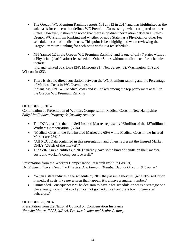- The Oregon WC Premium Ranking reports NH at #12 in 2014 and was highlighted as the sole basis for concern that defines WC Premium Costs as high when compared to other States. However, it should be noted that there is no direct correlation between a State's Oregon WC Premium Ranking and whether or not a State has a Physician or other Fee schedule to control medical costs. This point is best highlighted when reviewing the Oregon Premium Ranking for each State without a fee schedule.
- NH (ranked 12 in the Oregon WC Premium Ranking) and is one of only 7 states without a Physician (clarification) fee schedule. Other States without medical cost fee schedules include:

 Indiana (ranked 50), Iowa (24), Missouri(21), New Jersey (3), Washington (17) and Wisconsin (23).

• There is also no direct correlation between the WC Premium ranking and the Percentage of Medical Costs in WC Overall costs. Indiana has 73% WC Medical costs and is Ranked among the top performers at #50 in the Oregon WC Premium Ranking

#### OCTOBER 9, 2014

Continuation of Presentation of Workers Compensation Medical Costs in New Hampshire *Sally MacFadden, Property & Casualty Actuary*

- The DOL clarified that the Self Insured Market represents "62millon of the 187million in Workers Compensation. (33%)"
- "Medical Costs in the Self-Insured Market are 65% while Medical Costs in the Insured Market are 73%."
- "All NCCI Data contained in this presentation and others represent the Insured Market ONLY (2/3rds of the market)."
- The Self-Insured entities (in NH) "already have some kind of handle on their medical costs and worker's comp costs overall."

#### Presentation from the Workers Compensation Research Institute (WCRI) *Dr. Richard Victor, Executive Director, Ms. Ramona Tanabe, Deputy Director & Counsel*

- "When a state reduces a fee schedule by 20% they assume they will get a 20% reduction in medical costs. I've never seen that happen, it's always a smaller number."
- Unintended Consequences: "The decision to have a fee schedule or not is a strategic one. Once you go down that road you cannot go back, like Pandora's box. It generates behaviors."

#### OCTOBER 23, 2014

Presentation from the National Council on Compensation Insurance *Natasha Moore, FCAS, MAAA, Practice Leader and Senior Actuary*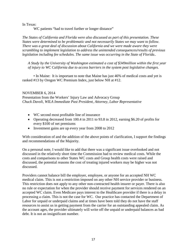In Texas:

WC patients "had to travel further or longer distance"

*The States of California and Florida were also discussed as part of this presentation. These States were determined to be problematic and not necessarily States we may want to follow. There was a great deal of discussion about California and we were made aware they were scrambling to implement legislation to address the unintended consequences/results of previous legislation including fee schedules. The same issue was occurring in the State of Florida..*

*A Study by the University of Washington estimated a cost of \$349million within the first year of injury to WC California due to access barriers in the system post legislative changes.*

• In Maine: It is important to note that Maine has just 46% of medical costs and yet is ranked #13 by Oregon WC Premium Index, just below NH at #12.

#### NOVEMBER 6, 2014

Presentation from the Workers' Injury Law and Advocacy Group *Chuck Davoli, WILA Immediate Past President, Attorney, Labor Representative* 

- WC second most profitable line of insurance
- Operating decreased from 100.4 in 2011 to 93.8 in 2012, earning \$6.20 of profits for every \$100 of net premiums
- Investment gains are up every year from 2008 to 2012

With consideration of and the addition of the above points of clarification, I support the findings and recommendations of the Majority.

On a personal note, I would like to add that there was a significant issue overlooked and not discussed in the relatively short time the Commission had to review medical costs. While the costs and comparisons to other States WC costs and Group health costs were raised and discussed, the potential reasons the cost of treating injured workers may be higher was not discussed.

Providers cannot balance bill the employer, employee, or anyone for an accepted NH WC medical claim. This is not a restriction imposed on any other NH service provider or business. This restriction does not apply to any other non-contracted health insurer or payer. There is also no rule or expectation for when the provider should receive payment for services rendered on an accepted WC claim. Even Medicare pays interest to the Healthcare provider if there is a delay in processing a claim. This is not the case for WC. Our practice has contacted the Department of Labor for unpaid or underpaid claims and at times have been told they do not have the staff resources to assist us in getting payment from the carrier for an outstanding appealed claim. As the account ages, the provider ultimately will write off the unpaid or underpaid balances as bad debt. It is not an insignificant number.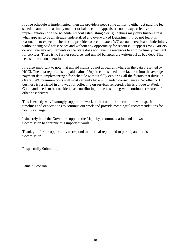If a fee schedule is implemented, then the providers need some ability to either get paid the fee schedule amount in a timely manner or balance bill. Appeals are not always effective and implementation of a fee schedule without establishing clear guidelines may only further stress what appears to be an already understaffed and overworked Department. I do not feel it is reasonable to expect the healthcare provider to accumulate a WC accounts receivable indefinitely without being paid for services and without any opportunity for recourse. It appears WC Carriers do not have any requirements or the State does not have the resources to enforce timely payment for services. There is no further recourse, and unpaid balances are written off as bad debt. This needs to be a consideration.

It is also important to note that unpaid claims do not appear anywhere in the data presented by NCCI. The data reported is on paid claims. Unpaid claims need to be factored into the average payment data. Implementing a fee schedule without fully exploring all the factors that drive up Overall WC premium costs will most certainly have unintended consequences. No other NH business is restricted in any way for collecting on services rendered. This is unique to Work Comp and needs to be considered as contributing to the cost along with continued research of other cost drivers.

This is exactly why I strongly support the work of the commission continue with specific timelines and expectations to continue our work and provide meaningful recommendations for positive change.

I sincerely hope the Governor supports the Majority recommendation and allows the Commission to continue this important work.

Thank you for the opportunity to respond to the final report and to participate in this Commission.

Respectfully Submitted,

Pamela Bronson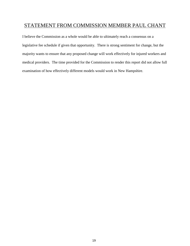## STATEMENT FROM COMMISSION MEMBER PAUL CHANT

I believe the Commission as a whole would be able to ultimately reach a consensus on a legislative fee schedule if given that opportunity. There is strong sentiment for change, but the majority wants to ensure that any proposed change will work effectively for injured workers and medical providers. The time provided for the Commission to render this report did not allow full examination of how effectively different models would work in New Hampshire.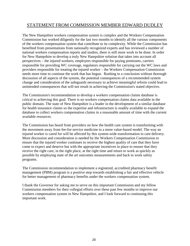## STATEMENT FROM COMMISSION MEMBER EDWARD DUDLEY

The New Hampshire workers compensation system is complex and the Workers Compensation Commission has worked diligently for the last two months to identify all the various components of the workers compensation system that contribute to its complexity. While the Commission has benefited from presentations from nationally recognized experts and has reviewed a number of national workers compensation reports and studies, there is still more work to be done. In order for New Hampshire to develop a truly New Hampshire solution that takes into account all perspectives – the injured workers, employers responsible for paying premiums, carriers responsible for providing WC coverage, regulators responsible for carrying out the WC laws and providers responsible for treating the injured worker – the Workers Compensation Commission needs more time to continue the work that has begun. Rushing to a conclusion without thorough discussion of all aspects of the system, the potential consequences of a recommended system change and consideration of the safeguards necessary to achieve meaningful reform could lead to unintended consequences that will not result in achieving the Commission's stated objective.

The Commission's recommendation to develop a workers compensation claims database is critical to achieving this goal. There is no workers compensation claims data available in the public domain. The state of New Hampshire is a leader in the development of a similar database for health insurance claims so the expertise and infrastructure is readily available to expand the database to collect workers compensation claims in a reasonable amount of time with the current available resources.

The Commission has heard from providers on how the health care system is transforming with the movement away from fee-for-service medicine to a more value-based model. The way an injured worker is cared for will be affected by this system-wide transformation in care delivery. More discussion and consideration is needed by the Workers Compensation Commission to ensure that the injured worker continues to receive the highest quality of care that they have come to expect and deserve but with the appropriate incentives in place to ensure that they receive the right care, in the right place, at the right time and return to work as quickly as possible by employing state of the art outcomes measurements and back to work safety programs.

The Commission recommendation to implement a registered, accredited pharmacy benefit management (PBM) program is a positive step towards establishing a fair and effective vehicle for better management of pharmacy benefits under the workers compensation system.

I thank the Governor for asking me to serve on this important Commission and my fellow Commission members for their collegial efforts over these past few months to improve our workers compensation system in New Hampshire, and I look forward to continuing this important work.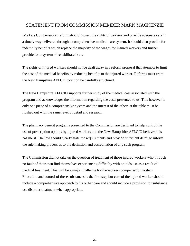### STATEMENT FROM COMMISSION MEMBER MARK MACKENZIE

Workers Compensation reform should protect the rights of workers and provide adequate care in a timely way delivered through a comprehensive medical care system. It should also provide for indemnity benefits which replace the majority of the wages for insured workers and further provide for a system of rehabilitated care.

The rights of injured workers should not be dealt away in a reform proposal that attempts to limit the cost of the medical benefits by reducing benefits to the injured worker. Reforms must from the New Hampshire AFLCIO position be carefully structured.

The New Hampshire AFLCIO supports further study of the medical cost associated with the program and acknowledges the information regarding the costs presented to us. This however is only one piece of a comprehensive system and the interest of the others at the table must be flushed out with the same level of detail and research.

The pharmacy benefit programs presented to the Commission are designed to help control the use of prescription opioids by injured workers and the New Hampshire AFLCIO believes this has merit. The law should clearly state the requirements and provide sufficient detail to inform the rule making process as to the definition and accreditation of any such program.

The Commission did not take up the question of treatment of those injured workers who through no fault of their own find themselves experiencing difficulty with opioids use as a result of medical treatment. This will be a major challenge for the workers compensation system. Education and control of these substances is the first step but care of the injured worker should include a comprehensive approach to his or her care and should include a provision for substance use disorder treatment when appropriate.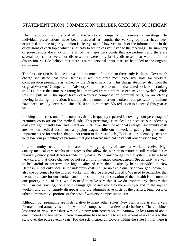## STATEMENT FROM COMMISSION MEMBER GREGORY SOGHIKIAN

I had the opportunity to attend all of the Workers' Compensation Commission meetings. The individual presentations have been discussed at length, the varying opinions have been expressed, and the majority opinion is clearly stated. However, much of the information is in the discussions of each topic which is not easy to see unless you listen to the meetings. The summary of presentations does not outline all of the major data points that are pertinent and there are several topics that were not discussed or were only briefly discussed that warrant further discussion, so I do believe that there is some personal input that can be added to the ongoing discussion.

The first question is the question as to how much of a problem there truly is. In the Governor's charge she stated that New Hampshire was the ninth most expensive state for workers' compensation premiums as ranked by the Oregon rankings. This charge stemmed also from the original Workers' Compensation Advisory Committee information that dated back to the ranking of 2011. Since that time our rating has improved from ninth most expensive to twelfth. While this still puts us in the upper levels of workers' compensation premium costs, we are clearly moving in the right direction. It should also be noted that our workers' compensation premiums have been steadily decreasing since 2010 and a estimated 5% reduction is expected this year as well.

Looking at the cost, one of the numbers that is frequently repeated is how high our percentage of premium costs are on the medical side. This percentage is misleading because our indemnity costs are significantly low, and in fact are 30% lower than the national average. (Indemnity costs are the non-medical costs such as paying wages while out of work or paying for permanent impairments or for workers that do not return to their usual job.) Because our indemnity costs are very low, our percentage of premium that goes toward medical costs will obviously be higher.

Low indemnity costs is one indicator of the high quality of care our workers receive. High quality medical care results in outcomes that allow the worker to return to full regular duties relatively quickly and decreases indemnity costs. With any changes to the system we have to be very careful that those changes do not result in unintended consequences. Specifically, we want to be careful to preserve the high quality of care that is already being provided in New Hampshire, not only because the indemnity costs will go up as the quality of care goes down, but also the outcomes for the injured worker will also be affected directly. We need to remember that the medical care for our workers and the restoration or preservation of their health is the number one priority in all of this. We also need to make sure that if we do institute any changes that result in cost savings, those cost savings get passed along to the employer and to the injured worker, and do not simply disappear into the administrative costs of the carriers, legal costs or other administrative portions of the cost of workers' compensation care.

Although our premiums are high relative to many other states, New Hampshire is still a very favorable and attractive state for workers' compensation carriers to do business. The combined loss ratio in New Hampshire was only ninety-four percent vs. the nationwide loss ratio of about one hundred and ten percent. New Hampshire has been able to attract several new carriers to this state over the past several years. For the self-insured employers within the state I think there is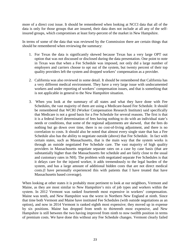more of a direct cost issue. It should be remembered when looking at NCCI data that all of the data is only for those groups that are insured, their data does not include at all any of the selfinsured groups, which compromises at least forty-percent of the market in New Hampshire.

In terms of some of the data that was reviewed by the Commission there are certain things that should be remembered when reviewing the summary:

- 1. For Texas the data is significantly skewed because Texas has a very large OPT out option that was not discussed or disclosed during the data presentation. One point to note in Texas was that when a Fee Schedule was imposed, not only did a large number of employers and carriers choose to opt out of the system, but twenty percent of their top quality providers left the system and dropped workers' compensation as a provider.
- 2. California was also reviewed in some detail. It should be remembered that California has a very different medical environment. They have a very large issue with undocumented workers and under reporting of workers' compensation issues, and that is something that is not applicable in general to the New Hampshire situation.
- 3. When you look at the summary of all states and what they have done with Fee Schedules, the vast majority of them are using a Medicare-based Fee Schedule. It should be remembered that WCRI (Worker Compensation Research Institute) said specifically that Medicare is not a good basis for a Fee Schedule for several reasons. The first is that it is a federal level determination of fees having nothing to do with an individual state's needs or conditions, that some of the regional adjustments are skewed, that the fees do nothing but go down over time, there is no cost-of-living adjustment, and there is no correlation to costs. It should also be noted that almost every single state that has a Fee Schedule also has the ability to negotiate outside (above) that Fee Schedule. In fact with certain states, such as Massachusetts, that is the main way that the system works is through an outside negotiated Fee Schedule care. The vast majority of high quality providers in Massachusetts negotiate separate rates on a case by case basis (that are substantially higher than the Massachusetts fee schedule and are fairly close to the usual and customary rates in NH). The problem with negotiated separate Fee Schedules is that it delays care for the injured worker, it adds tremendously to the legal burden of the system, and has a large amount of additional hidden costs that are not direct medical costs.(I have personally experienced this with patients that I have treated that have Massachusetts based coverage).

When looking at other states it is probably most pertinent to look at our neighbors, Vermont and Maine, as they are most similar to New Hampshire's mix of job types and workers within the system. In 2012 Vermont was ranked fourteenth most expensive in workers' compensation. Maine was tenth, and New Hampshire was the worst in Northern New England at ninth. Since that time both Vermont and Maine have instituted Fee Schedules (with outside negotiations as an option), and now in 2014 Vermont is ranked eighth most expensive; they moved up in expense by six positions. Maine has dropped from tenth to thirteenth most expensive, and New Hampshire is still between the two having improved from ninth to now twelfth position in terms of premium costs. We have done this without any Fee Schedule changes. Vermont clearly failed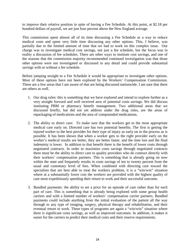to improve their relative position in spite of having a Fee Schedule. At this point, at \$2.18 per hundred dollars of payroll, we are just four percent above the New England average.

This commission spent almost all of its time discussing a Fee Schedule as a way to reduce medical costs and spent very little time discussing any other options. This, I believe, was partially due to the limited amount of time that we had to work on this complex issue. Our charge was to investigate medical cost savings, not just a fee schedule, but the focus was in reality a discussion of fee schedules. There are other ways to institute cost savings, and one of the reasons that the commission majority recommended continued investigation was that those other options were not investigated or discussed in any detail and could provide substantial savings with or without a fee schedule.

Before jumping straight to a Fee Schedule it would be appropriate to investigate other options. Most of these options have not been explored by the Workers' Compensation Commission. These are a few areas that I am aware of that are being discussed nationwide. I am sure that there are others as well.

- 1. Our drug rules: this is something that we have explored and intend to explore further as a very straight forward and well received area of potential costs savings. We did discuss instituting PBM or pharmacy benefit management. Two additional areas that we discussed briefly, but did not yet address under the drug rules, are the areas of repackaging of medications and the area of compounded medications.
- 2. The ability to direct care: To make sure that the workers get to the most appropriate medical care early on. Directed care has two potential benefits. The first is getting the injured worker to the best provider for their type of injury as early on in the process as is possible. It has been shown that when a worker gets to the right provider early on the worker's medical results are better, they are better faster, and the time lost and the final indemnity is lower. In addition to that benefit there is the benefit of lower costs through negotiated contracts. In order to maximize costs savings through negotiated contracts there must be the ability to direct care to quality providers who do contract directly with their workers' compensation partners. This is something that is already going on now within the state and frequently results in costs savings of ten to twenty percent from the usual and customary level of fees. When combined with directing care toward the specialists that are best able to treat the workers problem, it is a "win/win" situation where at a substantially lower cost the workers are provided with the highest quality of care most expeditiously speeding their return to work and their successful outcome.
- 3. Bundled payments: the ability to set a price for an episode of care rather than for each part of care. This is something that is already being explored with some group health carriers and with a limited number of workers' compensation carrier partners. Bundled payments could include anything from the initial evaluation of the patient all the way through to any type of imaging, surgery, physical therapy and rehabilitation, and their eventual return to work. These types of programs are again a "win/win" situation where there is significant costs savings, as well as improved outcomes. In addition, it makes it easier for the carriers to predict their medical costs and their reserve requirements.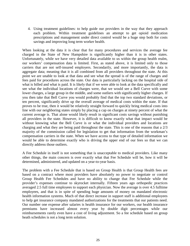4. Using treatment guidelines: to help guide our providers in the way that they approach each problem. Within treatment guidelines an attempt to get opioid medication prescriptions and management under direct control would be a huge step both for costs savings and improving long term worker health.

When looking at the data it is clear that for many procedures and services the average fee charged in the State of New Hampshire is significantly higher than it is in other states. Unfortunately, while we have very detailed data available to us within the group health realm, our workers' compensation data is limited. First, as stated above, it is limited only to those carriers that are not self-insured employers. Secondarily, and more importantly, the data is aggregate data; meaning that it is all combined from all providers throughout the state. At this point we are unable to look at that data and see what the spread is of the range of charges and fees paid for procedures across the state. Our data is particularly lacking on the hospital side of what is billed and what is paid. It is likely that if we were able to look at the data specifically and see what the individual locations of charges were, that we would see a Bell Curve with some lower charges, a large group in the middle, and some outliers with significantly higher charges. If you then take that Bell Curve you would probably find that the top two standard deviations, or ten percent, significantly drive up the overall average of medical costs within the state. If that proves to be true, then it would be relatively straight forward to quickly bring medical costs into line with our neighboring states simply by placing a cap on charges at ninety percent of what the current average is. That alone would likely result in significant costs savings without punishing all providers in the state. However, it is difficult to know exactly what that impact would be without knowing what the Bell Curve is or what the individual providers and locations are charging and what they are being paid throughout the state. This is one of the reasons that a 2/3 majority of the commission called for legislation to get that information from the workman's compensation carriers in the state. When we have access to that type of detailed information we would be able to determine exactly who is driving the upper end of our fees so that we can directly address those outliers.

A Fee Schedule in itself is not something that is unacceptable to medical providers. Like many other things, the main concern is over exactly what that Fee Schedule will be, how it will be determined, administered, and updated on a year-to-year basis.

The problem with a Fee Schedule that is based on Group Health is that Group Health fees are based on a contract where most providers have absolutely no power to negotiate or control Group Health Fee Schedules and have no ability to change that Fee Schedule while the provider's expenses continue to skyrocket internally. Fifteen years ago orthopedic practices averaged 2.5 full time employees to support each physician. Now the average is over 4.5 fulltime employees, and that is in spite of spending huge amounts of money on mandated electronic health information systems. Much of that direct increase in support staff is additional employees to help get insurance company mandated authorizations for the treatments that our patients need. Our number one expense after salaries is health insurance for our workers, our health insurance premiums have increased almost every year by double digit percentages while our reimbursements rarely even have a cost of living adjustment. So a fee schedule based on group heath schedules is not a long term solution.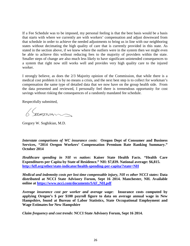If a Fee Schedule was to be imposed, my personal feeling is that the best basis would be a basis that starts with where we currently are with workers' compensation and adjust downward from that schedule in order to achieve the needed adjustments to bring us in line with our neighboring states without decimating the high quality of care that is currently provided in this state. As stated in the section above, if we knew where the outliers were in the system then we might even be able to achieve this without reducing fees to the majority of providers within the state. Smaller steps of change are also much less likely to have significant unintended consequences to a system that right now still works well and provides very high quality care to the injured worker.

I strongly believe, as does the 2/3 Majority opinion of the Commission, that while there is a medical cost problem it is by no means a crisis, and the next best step is to collect for workman's compensation the same type of detailed data that we now have on the group health side. From the data presented and reviewed, I personally feel there is tremendous opportunity for cost savings without risking the consequences of a randomly mandated fee schedule.

Respectfully submitted,

6. Sterarin

Gregory W. Soghikian, M.D.

*Interstate comparisons of WC insurance costs***: Oregon Dept of Consumer and Business Services, "2014 Oregon Workers' Compensation Premium Rate Ranking Summary." October 2014**

*Healthcare spending in NH vs nation***: Kaiser State Health Facts. "Health Care Expenditures per Capita by State of Residence." NH: \$7,839. National average: \$6,815. <http://kff.org/other/state-indicator/health-spending-per-capita/?state=NH>**

*Medical and indemnity costs per lost time compensable injury, NH vs other NCCI states***: Data distributed at NCCI State Advisory Forum, Sept 16 2014. Manchester, NH. Available online at [https://www.ncci.com/documents/SAF\\_NH.pdf](https://www.ncci.com/documents/SAF_NH.pdf)**

*Average insurance cost per worker and average wage***: Insurance costs computed by applying Oregon's \$ per \$100 payroll figure to data on average annual wage in New Hampshire, found at Bureau of Labor Statistics, State Occupational Employment and Wage Estimates for New Hampshire**

*Claim frequency and cost trends***: NCCI State Advisory Forum, Sept 16 2014.**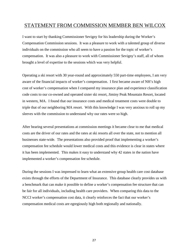## STATEMENT FROM COMMISSION MEMBER BEN WILCOX

I want to start by thanking Commissioner Sevigny for his leadership during the Worker's Compensation Commission sessions. It was a pleasure to work with a talented group of diverse individuals on the commission who all seem to have a passion for the topic of worker's compensation. It was also a pleasure to work with Commissioner Sevigny's staff, all of whom brought a level of expertise to the sessions which was very helpful.

Operating a ski resort with 30 year-round and approximately 550 part-time employees, I am very aware of the financial impacts of worker's compensation. I first became aware of NH's high cost of worker's compensation when I compared my insurance plan and experience classification code costs to our co-owned and operated sister ski resort, Jiminy Peak Mountain Resort, located in western, MA. I found that our insurance costs and medical treatment costs were double to triple that of our neighboring MA resort. With this knowledge I was very anxious to roll up my sleeves with the commission to understand why our rates were so high.

After hearing several presentations at commission meetings it became clear to me that medical costs are the driver of our rates and the rates at ski resorts all over the state, not to mention all businesses state-wide. The presentations also provided proof that implementing a worker's compensation fee schedule would lower medical costs and this evidence is clear in states where it has been implemented. This makes it easy to understand why 42 states in the nation have implemented a worker's compensation fee schedule.

During the sessions I was impressed to learn what an extensive group health care cost database exists through the efforts of the Department of Insurance. This database clearly provides us with a benchmark that can make it possible to define a worker's compensation fee structure that can be fair for all individuals, including health care providers. When comparing this data to the NCCI worker's compensation cost data, it clearly reinforces the fact that our worker's compensation medical costs are egregiously high both regionally and nationally.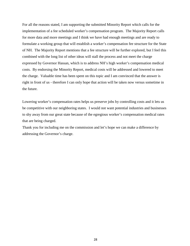For all the reasons stated, I am supporting the submitted Minority Report which calls for the implementation of a fee scheduled worker's compensation program. The Majority Report calls for more data and more meetings and I think we have had enough meetings and are ready to formulate a working group that will establish a worker's compensation fee structure for the State of NH. The Majority Report mentions that a fee structure will be further explored, but I feel this combined with the long list of other ideas will stall the process and not meet the charge expressed by Governor Hassan, which is to address NH's high worker's compensation medical costs. By endorsing the Minority Report, medical costs will be addressed and lowered to meet the charge. Valuable time has been spent on this topic and I am convinced that the answer is right in front of us - therefore I can only hope that action will be taken now versus sometime in the future.

Lowering worker's compensation rates helps us preserve jobs by controlling costs and it lets us be competitive with our neighboring states. I would not want potential industries and businesses to shy away from our great state because of the egregious worker's compensation medical rates that are being charged.

Thank you for including me on the commission and let's hope we can make a difference by addressing the Governor's charge.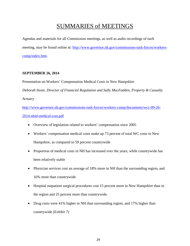# SUMMARIES of MEETINGS

Agendas and materials for all Commission meetings, as well as audio recordings of each meeting, may be found online at: [http://www.governor.nh.gov/commissions-task-forces/workers](http://www.governor.nh.gov/commissions-task-forces/workers-comp/index.htm)[comp/index.htm.](http://www.governor.nh.gov/commissions-task-forces/workers-comp/index.htm)

#### **SEPTEMBER 26, 2014**

Presentation on Workers' Compensation Medical Costs in New Hampshire

*Deborah Stone, Director of Financial Regulation and Sally MacFadden, Property & Casualty* 

*Actuary*

[http://www.governor.nh.gov/commissions-task-forces/workers-comp/documents/wcc-09-26-](http://www.governor.nh.gov/commissions-task-forces/workers-comp/documents/wcc-09-26-2014-nhid-medical-cost.pdf) [2014-nhid-medical-cost.pdf](http://www.governor.nh.gov/commissions-task-forces/workers-comp/documents/wcc-09-26-2014-nhid-medical-cost.pdf)

- Overview of legislation related to workers' compensation since 2005
- Workers' compensation medical costs make up 73 percent of total WC costs in New Hampshire, as compared to 59 percent countrywide
- Proportion of medical costs in NH has increased over the years, while countrywide has been relatively stable
- Physician services cost an average of 18% more in NH than the surrounding region, and 16% more than countrywide
- Hospital outpatient surgical procedures cost 15 percent more in New Hampshire than in the region and 25 percent more than countrywide.
- Drug costs were 41% higher in NH than surrounding region, and 17% higher than countrywide (*Exhibit 7*)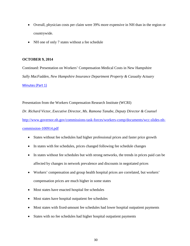- Overall, physician costs per claim were 39% more expensive in NH than in the region or countrywide.
- NH one of only 7 states without a fee schedule

#### **OCTOBER 9, 2014**

Continued: Presentation on Workers' Compensation Medical Costs in New Hampshire *Sally MacFadden, New Hampshire Insurance Department Property & Casualty Actuary* [Minutes \(Part 1\)](http://mm.nh.gov/media/governor/20141009-workers-comp-pt1.mp3)

Presentation from the Workers Compensation Research Institute (WCRI)

*Dr. Richard Victor, Executive Director, Ms. Ramona Tanabe, Deputy Director & Counsel* [http://www.governor.nh.gov/commissions-task-forces/workers-comp/documents/wcc-slides-nh](http://www.governor.nh.gov/commissions-task-forces/workers-comp/documents/wcc-slides-nh-commission-100914.pdf)[commission-100914.pdf](http://www.governor.nh.gov/commissions-task-forces/workers-comp/documents/wcc-slides-nh-commission-100914.pdf)

- States without fee schedules had higher professional prices and faster price growth
- In states with fee schedules, prices changed following fee schedule changes
- In states without fee schedules but with strong networks, the trends in prices paid can be affected by changes in network prevalence and discounts in negotiated prices
- Workers' compensation and group health hospital prices are correlated, but workers' compensation prices are much higher in some states
- Most states have enacted hospital fee schedules
- Most states have hospital outpatient fee schedules
- Most states with fixed-amount fee schedules had lower hospital outpatient payments
- States with no fee schedules had higher hospital outpatient payments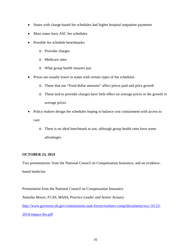- States with charge-based fee schedules had higher hospital outpatient payments
- Most states have ASC fee schedules
- Possible fee schedule benchmarks:
	- o Provider charges
	- o Medicare rates
	- o What group health insurers pay
- Prices are usually lower in states with certain types of fee schedules
	- o Those that use "fixed dollar amounts" affect prices paid and price growth
	- o Those tied to provider charges have little effect on average prices or the growth in average prices
- Policy makers design fee schedules hoping to balance cost containment with access to care
	- o There is no ideal benchmark to use, although group health rates have some advantages

#### **OCTOBER 23, 2014**

Two presentations: from the National Council on Compensation Insurance, and on evidencebased medicine

Presentation from the National Council on Compensation Insurance *Natasha Moore, FCAS, MAAA, Practice Leader and Senior Actuary* [http://www.governor.nh.gov/commissions-task-forces/workers-comp/documents/wcc-10-23-](http://www.governor.nh.gov/commissions-task-forces/workers-comp/documents/wcc-10-23-2014-impact-fee.pdf) [2014-impact-fee.pdf](http://www.governor.nh.gov/commissions-task-forces/workers-comp/documents/wcc-10-23-2014-impact-fee.pdf)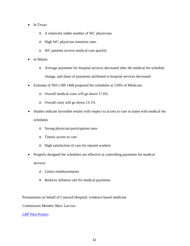- In Texas:
	- o A relatively stable number of WC physicians
	- o High WC physician retention rates
	- o WC patients receive medical care quickly
- In Maine:
	- o Average payments for hospital services decreased after the medical fee schedule change, and share of payments attributed to hospital services decreased
- Estimate of NH's HB 1468 proposed fee schedules at 150% of Medicare:
	- o Overall medical costs will go down 17.6%
	- o Overall costs will go down 13.1%
- Studies indicate favorable results with respect to access to care in states with medical fee schedules
	- o Strong physician participation rates
	- o Timely access to care
	- o High satisfaction of care for injured workers
- Properly designed fee schedules are effective at controlling payments for medical services
	- o Limits reimbursements
	- o Reduces inflation rate for medical payments

Presentation on behalf of Concord Hospital: evidence-based medicine

*Commission Member Marc Lacroix*

#### [LBP Pilot Project](http://www.governor.nh.gov/commissions-task-forces/workers-comp/documents/wcc-10-23-2014-lbp.pptx)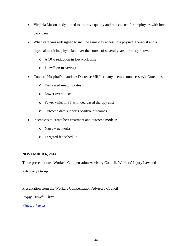- Virginia Mason study aimed to improve quality and reduce cost for employees with low back pain
- When care was redesigned to include same-day access to a physical therapist and a physical medicine physician, over the course of several years the study showed:
	- o A 50% reduction in lost work time
	- o \$2 million in savings
- Concord Hospital's mandate: Decrease MRI's (many deemed unnecessary). Outcomes:
	- o Decreased imaging rates
	- o Lower overall cost
	- o Fewer visits in PT with decreased therapy cost
	- o Outcome data supports positive outcomes
- Incentives to create best treatment and outcome models:
	- o Narrow networks
	- o Targeted fee schedule

#### **NOVEMBER 6, 2014**

Three presentations: Workers Compensation Advisory Council, Workers' Injury Law and

Advocacy Group

Presentation from the Workers Compensation Advisory Council

*Peggy Crouch, Chair* 

[Minutes \(Part 1\)](http://mm.nh.gov/media/governor/20141106-workers-comp-pt1.mp3)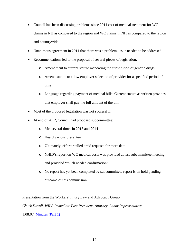- Council has been discussing problems since 2011 cost of medical treatment for WC claims in NH as compared to the region and WC claims in NH as compared to the region and countrywide.
- Unanimous agreement in 2011 that there was a problem, issue needed to be addressed.
- Recommendations led to the proposal of several pieces of legislation:
	- o Amendment to current statute mandating the substitution of generic drugs
	- o Amend statute to allow employer selection of provider for a specified period of time
	- o Language regarding payment of medical bills: Current statute as written provides that employer shall pay the full amount of the bill
- Most of the proposed legislation was not successful.
- At end of 2012, Council had proposed subcommittee:
	- o Met several times in 2013 and 2014
	- o Heard various presenters
	- o Ultimately, efforts stalled amid requests for more data
	- o NHID's report on WC medical costs was provided at last subcommittee meeting and provided "much needed confirmation"
	- o No report has yet been completed by subcommittee; report is on hold pending outcome of this commission

Presentation from the Workers' Injury Law and Advocacy Group *Chuck Davoli, WILA Immediate Past President, Attorney, Labor Representative* 1:08:07, [Minutes \(Part 1\)](http://mm.nh.gov/media/governor/20141106-workers-comp-pt1.mp3)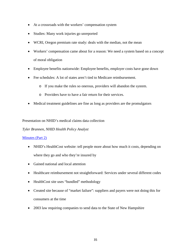- At a crossroads with the workers' compensation system
- Studies: Many work injuries go unreported
- WCRI, Oregon premium rate study: deals with the median, not the mean
- Workers' compensation came about for a reason: We need a system based on a concept of moral obligation
- Employee benefits nationwide: Employee benefits, employer costs have gone down
- Fee schedules: A lot of states aren't tied to Medicare reimbursement.
	- o If you make the rules so onerous, providers will abandon the system.
	- o Providers have to have a fair return for their services.
- Medical treatment guidelines are fine as long as providers are the promulgators

Presentation on NHID's medical claims data collection

*Tyler Brannen, NHID Health Policy Analyst*

#### [Minutes \(Part 2\)](http://mm.nh.gov/media/governor/20141106-workers-comp-pt2.mp3)

- NHID's HealthCost website: tell people more about how much it costs, depending on where they go and who they're insured by
- Gained national and local attention
- Healthcare reimbursement not straightforward: Services under several different codes
- HealthCost site uses "bundled" methodology
- Created site because of "market failure": suppliers and payers were not doing this for consumers at the time
- 2003 law requiring companies to send data to the State of New Hampshire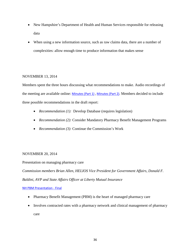- New Hampshire's Department of Health and Human Services responsible for releasing data
- When using a new information source, such as raw claims data, there are a number of complexities: allow enough time to produce information that makes sense

#### NOVEMBER 13, 2014

Members spent the three hours discussing what recommendations to make. Audio recordings of the meeting are available online: [Minutes \(Part 1\)](http://mm.nh.gov/media/governor/20141113-workers-comp-pt1.mp3), [Minutes \(Part 2\).](http://mm.nh.gov/media/governor/20141113-workers-comp-pt2.mp3) Members decided to include three possible recommendations in the draft report:

- *Recommendation (1):* Develop Database (requires legislation)
- *Recommendation (2):* Consider Mandatory Pharmacy Benefit Management Programs
- *Recommendation (3):* Continue the Commission's Work

#### NOVEMBER 20, 2014

Presentation on managing pharmacy care

*Commission members Brian Allen, HELIOS Vice President for Government Affairs, Donald F. Baldini, AVP and State Affairs Officer at Liberty Mutual Insurance*

#### [NH PBM Presentation -](http://www.governor.nh.gov/commissions-task-forces/workers-comp/documents/wcc-nh-pbm-presentation.pptx) Final

- Pharmacy Benefit Management (PBM) is the heart of managed pharmacy care
- Involves contracted rates with a pharmacy network and clinical management of pharmacy care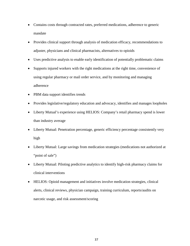- Contains costs through contracted rates, preferred medications, adherence to generic mandate
- Provides clinical support through analysis of medication efficacy, recommendations to adjuster, physicians and clinical pharmacists, alternatives to opioids
- Uses predictive analysis to enable early identification of potentially problematic claims
- Supports injured workers with the right medications at the right time, convenience of using regular pharmacy or mail order service, and by monitoring and managing adherence
- PBM data support identifies trends
- Provides legislative/regulatory education and advocacy, identifies and manages loopholes
- Liberty Mutual's experience using HELIOS: Company's retail pharmacy spend is lower than industry average
- Liberty Mutual: Penetration percentage, generic efficiency percentage consistently very high
- Liberty Mutual: Large savings from medication strategies (medications not authorized at "point of sale")
- Liberty Mutual: Piloting predictive analytics to identify high-risk pharmacy claims for clinical interventions
- HELIOS: Opioid management and initiatives involve medication strategies, clinical alerts, clinical reviews, physician campaign, training curriculum, reports/audits on narcotic usage, and risk assessment/scoring